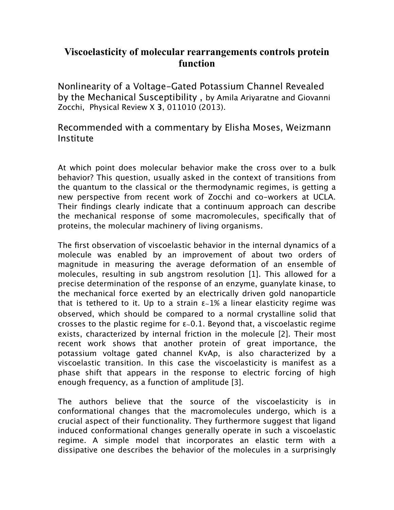## **Viscoelasticity of molecular rearrangements controls protein function**

Nonlinearity of a Voltage-Gated Potassium Channel Revealed by the Mechanical Susceptibility , by Amila Ariyaratne and Giovanni Zocchi, Physical Review X **3**, 011010 (2013).

Recommended with a commentary by Elisha Moses, Weizmann Institute

At which point does molecular behavior make the cross over to a bulk behavior? This question, usually asked in the context of transitions from the quantum to the classical or the thermodynamic regimes, is getting a new perspective from recent work of Zocchi and co-workers at UCLA. Their findings clearly indicate that a continuum approach can describe the mechanical response of some macromolecules, specifically that of proteins, the molecular machinery of living organisms.

The first observation of viscoelastic behavior in the internal dynamics of a molecule was enabled by an improvement of about two orders of magnitude in measuring the average deformation of an ensemble of molecules, resulting in sub angstrom resolution [1]. This allowed for a precise determination of the response of an enzyme, guanylate kinase, to the mechanical force exerted by an electrically driven gold nanoparticle that is tethered to it. Up to a strain ε∼1% a linear elasticity regime was observed, which should be compared to a normal crystalline solid that crosses to the plastic regime for ε∼0.1. Beyond that, a viscoelastic regime exists, characterized by internal friction in the molecule [2]. Their most recent work shows that another protein of great importance, the potassium voltage gated channel KvAp, is also characterized by a viscoelastic transition. In this case the viscoelasticity is manifest as a phase shift that appears in the response to electric forcing of high enough frequency, as a function of amplitude [3].

The authors believe that the source of the viscoelasticity is in conformational changes that the macromolecules undergo, which is a crucial aspect of their functionality. They furthermore suggest that ligand induced conformational changes generally operate in such a viscoelastic regime. A simple model that incorporates an elastic term with a dissipative one describes the behavior of the molecules in a surprisingly